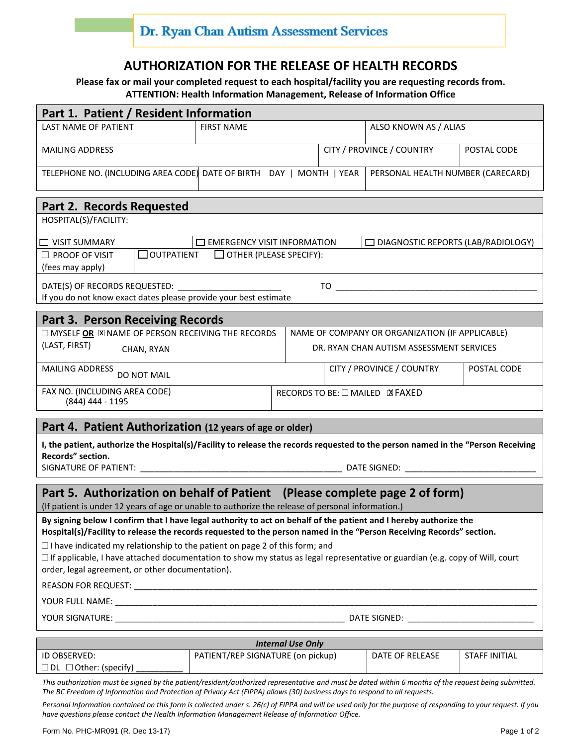## **AUTHORIZATION FOR THE RELEASE OF HEALTH RECORDS**

**Please fax or mail your completed request to each hospital/facility you are requesting records from. ATTENTION: Health Information Management, Release of Information Office**

| Part 1. Patient / Resident Information                                                                                                                                                                                                    |                                          |                                 |                                   |                       |  |
|-------------------------------------------------------------------------------------------------------------------------------------------------------------------------------------------------------------------------------------------|------------------------------------------|---------------------------------|-----------------------------------|-----------------------|--|
| <b>LAST NAME OF PATIENT</b>                                                                                                                                                                                                               | <b>FIRST NAME</b>                        |                                 |                                   | ALSO KNOWN AS / ALIAS |  |
| <b>MAILING ADDRESS</b>                                                                                                                                                                                                                    |                                          |                                 | CITY / PROVINCE / COUNTRY         | POSTAL CODE           |  |
| TELEPHONE NO. (INCLUDING AREA CODE) DATE OF BIRTH DAY   MONTH   YEAR                                                                                                                                                                      |                                          |                                 | PERSONAL HEALTH NUMBER (CARECARD) |                       |  |
| Part 2. Records Requested                                                                                                                                                                                                                 |                                          |                                 |                                   |                       |  |
| HOSPITAL(S)/FACILITY:                                                                                                                                                                                                                     |                                          |                                 |                                   |                       |  |
| EMERGENCY VISIT INFORMATION<br>$\Box$ VISIT SUMMARY<br>$\Box$ DIAGNOSTIC REPORTS (LAB/RADIOLOGY)                                                                                                                                          |                                          |                                 |                                   |                       |  |
| □ OUTPATIENT □ OTHER (PLEASE SPECIFY):<br>$\Box$ PROOF OF VISIT<br>(fees may apply)                                                                                                                                                       |                                          |                                 |                                   |                       |  |
|                                                                                                                                                                                                                                           |                                          |                                 |                                   |                       |  |
| If you do not know exact dates please provide your best estimate                                                                                                                                                                          |                                          |                                 |                                   |                       |  |
| <b>Part 3. Person Receiving Records</b>                                                                                                                                                                                                   |                                          |                                 |                                   |                       |  |
| $\square$ MYSELF OR $\boxtimes$ NAME OF PERSON RECEIVING THE RECORDS<br>NAME OF COMPANY OR ORGANIZATION (IF APPLICABLE)                                                                                                                   |                                          |                                 |                                   |                       |  |
| (LAST, FIRST)<br>CHAN, RYAN                                                                                                                                                                                                               | DR. RYAN CHAN AUTISM ASSESSMENT SERVICES |                                 |                                   |                       |  |
| <b>MAILING ADDRESS</b><br>DO NOT MAIL                                                                                                                                                                                                     |                                          |                                 | CITY / PROVINCE / COUNTRY         | POSTAL CODE           |  |
| FAX NO. (INCLUDING AREA CODE)<br>(844) 444 - 1195                                                                                                                                                                                         |                                          | RECORDS TO BE: □ MAILED N FAXED |                                   |                       |  |
| Part 4. Patient Authorization (12 years of age or older)                                                                                                                                                                                  |                                          |                                 |                                   |                       |  |
| I, the patient, authorize the Hospital(s)/Facility to release the records requested to the person named in the "Person Receiving                                                                                                          |                                          |                                 |                                   |                       |  |
| Records" section.                                                                                                                                                                                                                         |                                          |                                 |                                   |                       |  |
|                                                                                                                                                                                                                                           |                                          |                                 |                                   |                       |  |
| Part 5. Authorization on behalf of Patient (Please complete page 2 of form)<br>(If patient is under 12 years of age or unable to authorize the release of personal information.)                                                          |                                          |                                 |                                   |                       |  |
| By signing below I confirm that I have legal authority to act on behalf of the patient and I hereby authorize the<br>Hospital(s)/Facility to release the records requested to the person named in the "Person Receiving Records" section. |                                          |                                 |                                   |                       |  |
| $\Box$ I have indicated my relationship to the patient on page 2 of this form; and                                                                                                                                                        |                                          |                                 |                                   |                       |  |
| $\Box$ If applicable, I have attached documentation to show my status as legal representative or guardian (e.g. copy of Will, court<br>order, legal agreement, or other documentation).                                                   |                                          |                                 |                                   |                       |  |
|                                                                                                                                                                                                                                           |                                          |                                 |                                   |                       |  |
|                                                                                                                                                                                                                                           |                                          |                                 |                                   |                       |  |
|                                                                                                                                                                                                                                           |                                          |                                 |                                   |                       |  |
|                                                                                                                                                                                                                                           |                                          |                                 |                                   |                       |  |
| <b>Internal Use Only</b>                                                                                                                                                                                                                  |                                          |                                 |                                   |                       |  |
| ID OBSERVED:<br>$\Box$ DL $\Box$ Other: (specify)                                                                                                                                                                                         | PATIENT/REP SIGNATURE (on pickup)        |                                 | DATE OF RELEASE                   | <b>STAFF INITIAL</b>  |  |

*This authorization must be signed by the patient/resident/authorized representative and must be dated within 6 months of the request being submitted. The BC Freedom of Information and Protection of Privacy Act (FIPPA) allows (30) business days to respond to all requests.* 

*Personal Information contained on this form is collected under s. 26(c) of FIPPA and will be used only for the purpose of responding to your request. If you have questions please contact the Health Information Management Release of Information Office.*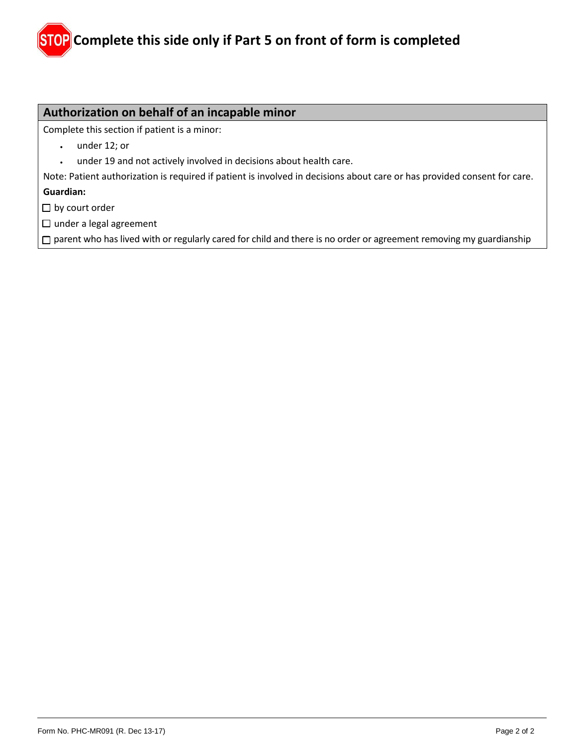## **Authorization on behalf of an incapable minor**

Complete this section if patient is a minor:

- under 12; or
- under 19 and not actively involved in decisions about health care.

Note: Patient authorization is required if patient is involved in decisions about care or has provided consent for care. **Guardian:**

 $\Box$  by court order

□ under a legal agreement

 $\square$  parent who has lived with or regularly cared for child and there is no order or agreement removing my guardianship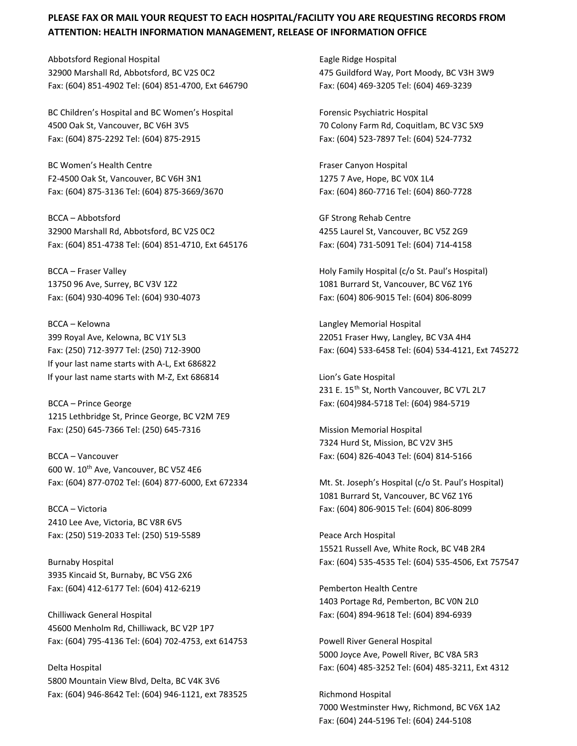## **PLEASE FAX OR MAIL YOUR REQUEST TO EACH HOSPITAL/FACILITY YOU ARE REQUESTING RECORDS FROM ATTENTION: HEALTH INFORMATION MANAGEMENT, RELEASE OF INFORMATION OFFICE**

Abbotsford Regional Hospital **Eagle Ridge Hospital** Eagle Ridge Hospital 32900 Marshall Rd, Abbotsford, BC V2S 0C2 475 Guildford Way, Port Moody, BC V3H 3W9 Fax: (604) 851-4902 Tel: (604) 851-4700, Ext 646790 Fax: (604) 469-3205 Tel: (604) 469-3239

BC Children's Hospital and BC Women's Hospital Forensic Psychiatric Hospital Forensic Psychiatric Hospital 4500 Oak St, Vancouver, BC V6H 3V5 70 Colony Farm Rd, Coquitlam, BC V3C 5X9 Fax: (604) 875-2292 Tel: (604) 875-2915 Fax: (604) 523-7897 Tel: (604) 524-7732

BC Women's Health Centre Fraser Canyon Hospital F2-4500 Oak St, Vancouver, BC V6H 3N1 1275 7 Ave, Hope, BC V0X 1L4 Fax: (604) 875-3136 Tel: (604) 875-3669/3670 Fax: (604) 860-7716 Tel: (604) 860-7728

BCCA – Abbotsford GF Strong Rehab Centre 32900 Marshall Rd, Abbotsford, BC V2S 0C2 4255 Laurel St, Vancouver, BC V5Z 2G9 Fax: (604) 851-4738 Tel: (604) 851-4710, Ext 645176 Fax: (604) 731-5091 Tel: (604) 714-4158

BCCA – Kelowna Langley Memorial Hospital 399 Royal Ave, Kelowna, BC V1Y 5L3 22051 Fraser Hwy, Langley, BC V3A 4H4 If your last name starts with A-L, Ext 686822 If your last name starts with M-Z, Ext 686814 Lion's Gate Hospital

1215 Lethbridge St, Prince George, BC V2M 7E9 Fax: (250) 645-7366 Tel: (250) 645-7316 Mission Memorial Hospital

BCCA – Vancouver Fax: (604) 826-4043 Tel: (604) 814-5166 600 W. 10th Ave, Vancouver, BC V5Z 4E6 Fax: (604) 877-0702 Tel: (604) 877-6000, Ext 672334 Mt. St. Joseph's Hospital (c/o St. Paul's Hospital)

2410 Lee Ave, Victoria, BC V8R 6V5 Fax: (250) 519-2033 Tel: (250) 519-5589 Peace Arch Hospital

3935 Kincaid St, Burnaby, BC V5G 2X6 Fax: (604) 412-6177 Tel: (604) 412-6219 Pemberton Health Centre

Chilliwack General Hospital Fax: (604) 894-9618 Tel: (604) 894-6939 45600 Menholm Rd, Chilliwack, BC V2P 1P7 Fax: (604) 795-4136 Tel: (604) 702-4753, ext 614753 Powell River General Hospital

5800 Mountain View Blvd, Delta, BC V4K 3V6 Fax: (604) 946-8642 Tel: (604) 946-1121, ext 783525 Richmond Hospital

BCCA – Fraser Valley The Matter of the Matter Holy Family Hospital (c/o St. Paul's Hospital) 13750 96 Ave, Surrey, BC V3V 1Z2 1081 Burrard St, Vancouver, BC V6Z 1Y6 Fax: (604) 930-4096 Tel: (604) 930-4073 Fax: (604) 806-9015 Tel: (604) 806-8099

Fax: (250) 712-3977 Tel: (250) 712-3900 Fax: (604) 533-6458 Tel: (604) 534-4121, Ext 745272

231 E. 15<sup>th</sup> St, North Vancouver, BC V7L 2L7 BCCA – Prince George Fax: (604)984-5718 Tel: (604) 984-5719

7324 Hurd St, Mission, BC V2V 3H5

1081 Burrard St, Vancouver, BC V6Z 1Y6 BCCA – Victoria Fax: (604) 806-9015 Tel: (604) 806-8099

15521 Russell Ave, White Rock, BC V4B 2R4 Burnaby Hospital Fax: (604) 535-4535 Tel: (604) 535-4506, Ext 757547

1403 Portage Rd, Pemberton, BC V0N 2L0

5000 Joyce Ave, Powell River, BC V8A 5R3 Delta Hospital Fax: (604) 485-3252 Tel: (604) 485-3211, Ext 4312

> 7000 Westminster Hwy, Richmond, BC V6X 1A2 Fax: (604) 244-5196 Tel: (604) 244-5108